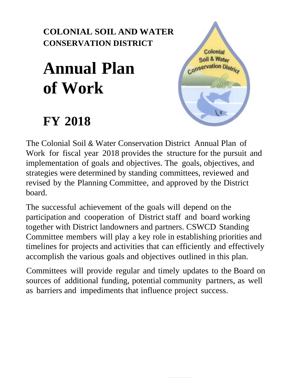## **COLONIAL SOIL AND WATER CONSERVATION DISTRICT**

# **Annual Plan of Work**

## **FY 2018**



The Colonial Soil & Water Conservation District Annual Plan of Work for fiscal year 2018 provides the structure for the pursuit and implementation of goals and objectives. The goals, objectives, and strategies were determined by standing committees, reviewed and revised by the Planning Committee, and approved by the District board.

The successful achievement of the goals will depend on the participation and cooperation of District staff and board working together with District landowners and partners. CSWCD Standing Committee members will play a key role in establishing priorities and timelines for projects and activities that can efficiently and effectively accomplish the various goals and objectives outlined in this plan.

Committees will provide regular and timely updates to the Board on sources of additional funding, potential community partners, as well as barriers and impediments that influence project success.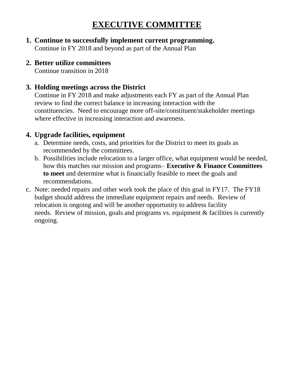## **EXECUTIVE COMMITTEE**

- **1. Continue to successfully implement current programming.** Continue in FY 2018 and beyond as part of the Annual Plan
- **2. Better utilize committees**

Continue transition in 2018

#### **3. Holding meetings across the District**

Continue in FY 2018 and make adjustments each FY as part of the Annual Plan review to find the correct balance in increasing interaction with the constituencies. Need to encourage more off-site/constituent/stakeholder meetings where effective in increasing interaction and awareness.

#### **4. Upgrade facilities, equipment**

- a. Determine needs, costs, and priorities for the District to meet its goals as recommended by the committees.
- b. Possibilities include relocation to a larger office, what equipment would be needed, how this matches our mission and programs– **Executive & Finance Committees to meet** and determine what is financially feasible to meet the goals and recommendations.
- c. Note: needed repairs and other work took the place of this goal in FY17. The FY18 budget should address the immediate equipment repairs and needs. Review of relocation is ongoing and will be another opportunity to address facility needs. Review of mission, goals and programs vs. equipment & facilities is currently ongoing.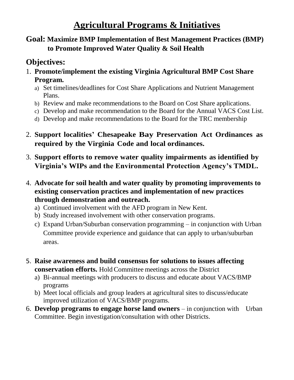## **Agricultural Programs & Initiatives**

#### **Goal: Maximize BMP Implementation of Best Management Practices (BMP) to Promote Improved Water Quality & Soil Health**

## **Objectives:**

- 1. **Promote/implement the existing Virginia Agricultural BMP Cost Share Program.**
	- a) Set timelines/deadlines for Cost Share Applications and Nutrient Management Plans.
	- b) Review and make recommendations to the Board on Cost Share applications.
	- c) Develop and make recommendation to the Board for the Annual VACS Cost List.
	- d) Develop and make recommendations to the Board for the TRC membership
- 2. **Support localities' Chesapeake Bay Preservation Act Ordinances as required by the Virginia Code and local ordinances.**
- 3. **Support efforts to remove water quality impairments as identified by Virginia's WIPs and the Environmental Protection Agency's TMDL.**
- 4. **Advocate for soil health and water quality by promoting improvements to existing conservation practices and implementation of new practices through demonstration and outreach.**
	- a) Continued involvement with the AFD program in New Kent.
	- b) Study increased involvement with other conservation programs.
	- c) Expand Urban/Suburban conservation programming in conjunction with Urban Committee provide experience and guidance that can apply to urban/suburban areas.
- 5. **Raise awareness and build consensus for solutions to issues affecting conservation efforts.** Hold Committee meetings across the District
	- a) Bi-annual meetings with producers to discuss and educate about VACS/BMP programs
	- b) Meet local officials and group leaders at agricultural sites to discuss/educate improved utilization of VACS/BMP programs.
- 6. **Develop programs to engage horse land owners** in conjunction with Urban Committee. Begin investigation/consultation with other Districts.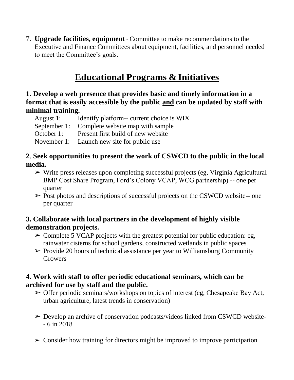7. **Upgrade facilities, equipment** - Committee to make recommendations to the Executive and Finance Committees about equipment, facilities, and personnel needed to meet the Committee's goals.

## **Educational Programs & Initiatives**

#### **1. Develop a web presence that provides basic and timely information in a format that is easily accessible by the public and can be updated by staff with minimal training.**

August 1: Identify platform-- current choice is WIX

September 1: Complete website map with sample

October 1: Present first build of new website

November 1: Launch new site for public use

#### **2**. **Seek opportunities to present the work of CSWCD to the public in the local media.**

➢ Write press releases upon completing successful projects (eg, Virginia Agricultural BMP Cost Share Program, Ford's Colony VCAP, WCG partnership) -- one per quarter

 $\triangleright$  Post photos and descriptions of successful projects on the CSWCD website-- one per quarter

#### **3. Collaborate with local partners in the development of highly visible demonstration projects.**

- $\geq$  Complete 5 VCAP projects with the greatest potential for public education: eg. rainwater cisterns for school gardens, constructed wetlands in public spaces
- $\triangleright$  Provide 20 hours of technical assistance per year to Williamsburg Community **Growers**

#### **4. Work with staff to offer periodic educational seminars, which can be archived for use by staff and the public.**

- $\triangleright$  Offer periodic seminars/workshops on topics of interest (eg, Chesapeake Bay Act, urban agriculture, latest trends in conservation)
- ➢ Develop an archive of conservation podcasts/videos linked from CSWCD website- - 6 in 2018
- $\geq$  Consider how training for directors might be improved to improve participation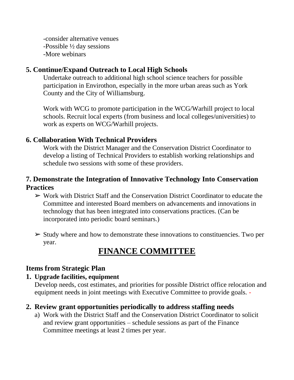-consider alternative venues -Possible ½ day sessions -More webinars

#### **5. Continue/Expand Outreach to Local High Schools**

Undertake outreach to additional high school science teachers for possible participation in Envirothon, especially in the more urban areas such as York County and the City of Williamsburg.

Work with WCG to promote participation in the WCG/Warhill project to local schools. Recruit local experts (from business and local colleges/universities) to work as experts on WCG/Warhill projects.

#### **6. Collaboration With Technical Providers**

Work with the District Manager and the Conservation District Coordinator to develop a listing of Technical Providers to establish working relationships and schedule two sessions with some of these providers.

#### **7. Demonstrate the Integration of Innovative Technology Into Conservation Practices**

- $\triangleright$  Work with District Staff and the Conservation District Coordinator to educate the Committee and interested Board members on advancements and innovations in technology that has been integrated into conservations practices. (Can be incorporated into periodic board seminars.)
- $\triangleright$  Study where and how to demonstrate these innovations to constituencies. Two per year.

## **FINANCE COMMITTEE**

#### **Items from Strategic Plan**

#### **1. Upgrade facilities, equipment**

Develop needs, cost estimates, and priorities for possible District office relocation and equipment needs in joint meetings with Executive Committee to provide goals. -

#### **2. Review grant opportunities periodically to address staffing needs**

a) Work with the District Staff and the Conservation District Coordinator to solicit and review grant opportunities – schedule sessions as part of the Finance Committee meetings at least 2 times per year.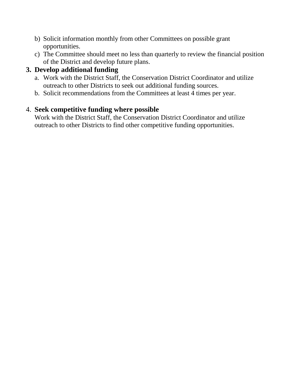- b) Solicit information monthly from other Committees on possible grant opportunities.
- c) The Committee should meet no less than quarterly to review the financial position of the District and develop future plans.

#### **3. Develop additional funding**

- a. Work with the District Staff, the Conservation District Coordinator and utilize outreach to other Districts to seek out additional funding sources.
- b. Solicit recommendations from the Committees at least 4 times per year.

#### 4. **Seek competitive funding where possible**

Work with the District Staff, the Conservation District Coordinator and utilize outreach to other Districts to find other competitive funding opportunities.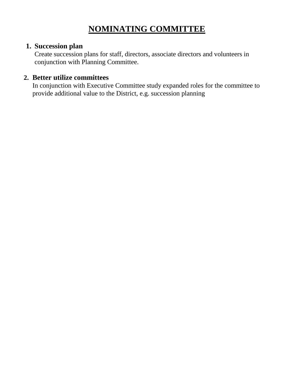## **NOMINATING COMMITTEE**

#### **1. Succession plan**

Create succession plans for staff, directors, associate directors and volunteers in conjunction with Planning Committee.

#### **2. Better utilize committees**

In conjunction with Executive Committee study expanded roles for the committee to provide additional value to the District, e.g. succession planning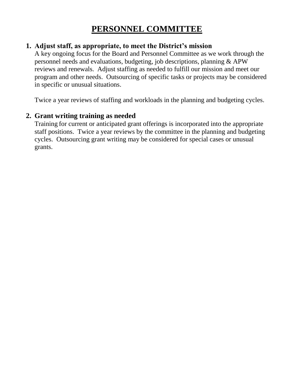## **PERSONNEL COMMITTEE**

#### **1. Adjust staff, as appropriate, to meet the District's mission**

A key ongoing focus for the Board and Personnel Committee as we work through the personnel needs and evaluations, budgeting, job descriptions, planning & APW reviews and renewals. Adjust staffing as needed to fulfill our mission and meet our program and other needs. Outsourcing of specific tasks or projects may be considered in specific or unusual situations.

Twice a year reviews of staffing and workloads in the planning and budgeting cycles.

#### **2. Grant writing training as needed**

Training for current or anticipated grant offerings is incorporated into the appropriate staff positions. Twice a year reviews by the committee in the planning and budgeting cycles. Outsourcing grant writing may be considered for special cases or unusual grants.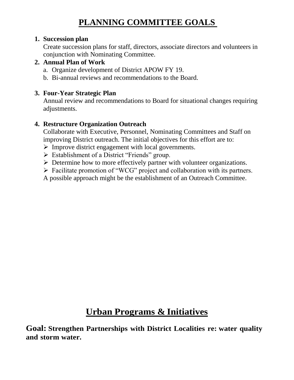## **PLANNING COMMITTEE GOALS**

#### **1. Succession plan**

Create succession plans for staff, directors, associate directors and volunteers in conjunction with Nominating Committee.

#### **2. Annual Plan of Work**

- a. Organize development of District APOW FY 19.
- b. Bi-annual reviews and recommendations to the Board.

#### **3. Four-Year Strategic Plan**

Annual review and recommendations to Board for situational changes requiring adjustments.

#### **4. Restructure Organization Outreach**

Collaborate with Executive, Personnel, Nominating Committees and Staff on improving District outreach. The initial objectives for this effort are to:

- ➢ Improve district engagement with local governments.
- $\triangleright$  Establishment of a District "Friends" group.
- ➢ Determine how to more effectively partner with volunteer organizations.
- ➢ Facilitate promotion of "WCG" project and collaboration with its partners.
- A possible approach might be the establishment of an Outreach Committee.

## **Urban Programs & Initiatives**

**Goal: Strengthen Partnerships with District Localities re: water quality and storm water.**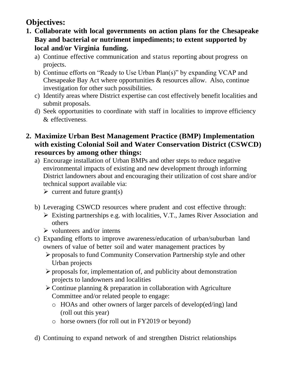## **Objectives:**

- **1. Collaborate with local governments on action plans for the Chesapeake Bay and bacterial or nutriment impediments; to extent supported by local and/or Virginia funding.**
	- a) Continue effective communication and status reporting about progress on projects.
	- b) Continue efforts on "Ready to Use Urban Plan(s)" by expanding VCAP and Chesapeake Bay Act where opportunities & resources allow. Also, continue investigation for other such possibilities.
	- c) Identify areas where District expertise can cost effectively benefit localities and submit proposals.
	- d) Seek opportunities to coordinate with staff in localities to improve efficiency & effectiveness.
- **2. Maximize Urban Best Management Practice (BMP) Implementation with existing Colonial Soil and Water Conservation District (CSWCD) resources by among other things:**
	- a) Encourage installation of Urban BMPs and other steps to reduce negative environmental impacts of existing and new development through informing District landowners about and encouraging their utilization of cost share and/or technical support available via:
		- $\triangleright$  current and future grant(s)
	- b) Leveraging CSWCD resources where prudent and cost effective through:  $\triangleright$  Existing partnerships e.g. with localities, V.T., James River Association and others
		- $\triangleright$  volunteers and/or interns
	- c) Expanding efforts to improve awareness/education of urban/suburban land owners of value of better soil and water management practices by
		- ➢ proposals to fund Community Conservation Partnership style and other Urban projects
		- ➢ proposals for, implementation of, and publicity about demonstration projects to landowners and localities
		- ➢ Continue planning & preparation in collaboration with Agriculture Committee and/or related people to engage:
			- o HOAs and other owners of larger parcels of develop(ed/ing) land (roll out this year)
			- o horse owners (for roll out in FY2019 or beyond)
	- d) Continuing to expand network of and strengthen District relationships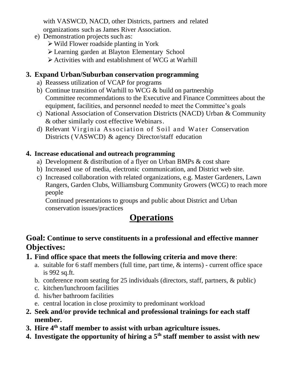with VASWCD, NACD, other Districts, partners and related organizations such as James River Association.

- e) Demonstration projects such as:
	- ➢ Wild Flower roadside planting in York
	- ➢ Learning garden at Blayton Elementary School
	- ➢ Activities with and establishment of WCG at Warhill

#### **3. Expand Urban/Suburban conservation programming**

- a) Reassess utilization of VCAP for programs
- b) Continue transition of Warhill to WCG & build on partnership Committee recommendations to the Executive and Finance Committees about the equipment, facilities, and personnel needed to meet the Committee's goals
- c) National Association of Conservation Districts (NACD) Urban & Community & other similarly cost effective Webinars.
- d) Relevant Virginia Association of Soil and Water Conservation Districts (VASWCD) & agency Director/staff education

#### **4. Increase educational and outreach programming**

- a) Development & distribution of a flyer on Urban BMPs & cost share
- b) Increased use of media, electronic communication, and District web site.
- c) Increased collaboration with related organizations, e.g. Master Gardeners, Lawn Rangers, Garden Clubs, Williamsburg Community Growers (WCG) to reach more people

Continued presentations to groups and public about District and Urban conservation issues/practices

## **Operations**

#### **Goal: Continue to serve constituents in a professional and effective manner Objectives:**

- **1. Find office space that meets the following criteria and move there**:
	- a. suitable for 6 staff members (full time, part time, & interns) current office space is 992 sq.ft.
	- b. conference room seating for 25 individuals (directors, staff, partners, & public)
	- c. kitchen/lunchroom facilities
	- d. his/her bathroom facilities
	- e. central location in close proximity to predominant workload
- **2. Seek and/or provide technical and professional trainings for each staff member.**
- **3. Hire 4th staff member to assist with urban agriculture issues.**
- **4. Investigate the opportunity of hiring a 5th staff member to assist with new**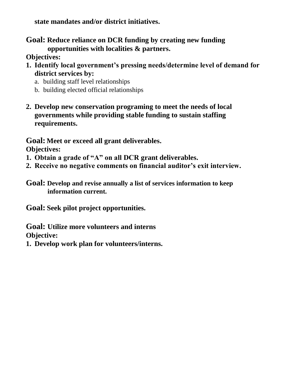**state mandates and/or district initiatives.**

**Goal: Reduce reliance on DCR funding by creating new funding opportunities with localities & partners.**

**Objectives:**

- **1. Identify local government's pressing needs/determine level of demand for district services by:**
	- a. building staff level relationships
	- b. building elected official relationships
- **2. Develop new conservation programing to meet the needs of local governments while providing stable funding to sustain staffing requirements.**

**Goal: Meet or exceed all grant deliverables.**

**Objectives:**

- **1. Obtain a grade of "A" on all DCR grant deliverables.**
- **2. Receive no negative comments on financial auditor's exit interview.**
- **Goal: Develop and revise annually a list of services information to keep information current.**

**Goal: Seek pilot project opportunities.**

**Goal: Utilize more volunteers and interns Objective:**

**1. Develop work plan for volunteers/interns.**